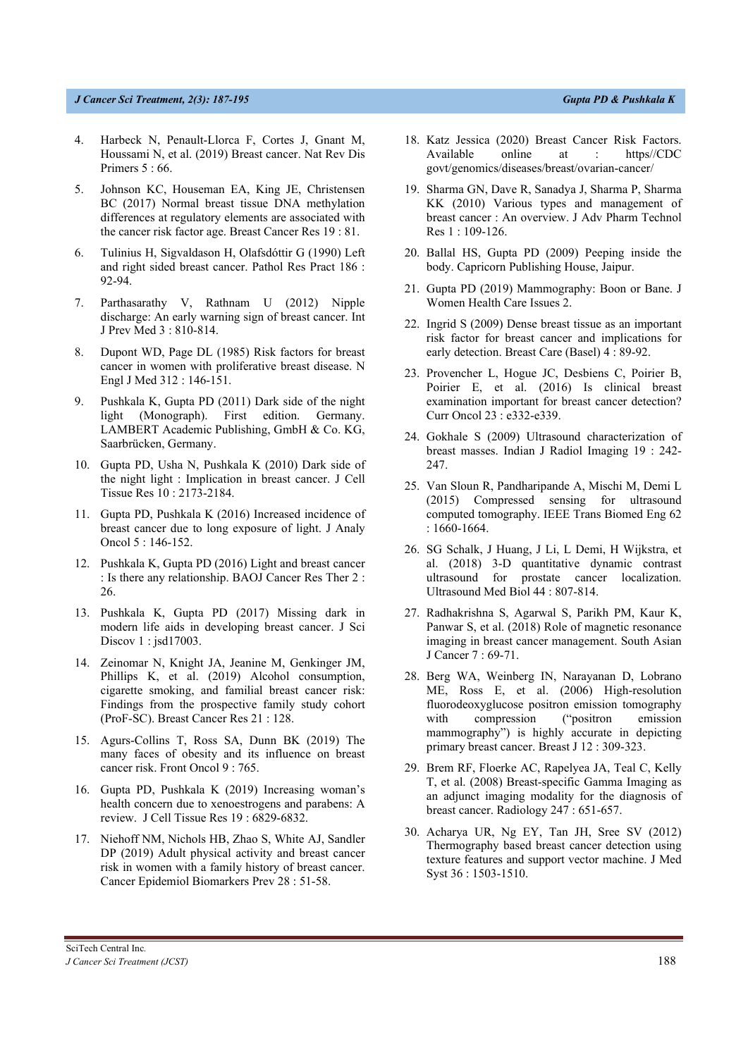## *J Cancer Sci Treatment, 3(1): 187-195 Gupta PD & Pushkala K*

- 4. Harbeck N, Penault-Llorca F, Cortes J, Gnant M, Houssami N, et al. (2019) Breast cancer. Nat Rev Dis Primers 5 : 66.
- 5. Johnson KC, Houseman EA, King JE, Christensen BC (2017) Normal breast tissue DNA methylation differences at regulatory elements are associated with the cancer risk factor age. Breast Cancer Res 19 : 81.
- 6. Tulinius H, Sigvaldason H, Olafsdóttir G (1990) Left and right sided breast cancer. Pathol Res Pract 186 : 92-94.
- 7. Parthasarathy V, Rathnam U (2012) Nipple discharge: An early warning sign of breast cancer. Int J Prev Med 3 : 810-814.
- 8. Dupont WD, Page DL (1985) Risk factors for breast cancer in women with proliferative breast disease. N Engl J Med 312 : 146-151.
- 9. Pushkala K, Gupta PD (2011) Dark side of the night light (Monograph). First edition. Germany. LAMBERT Academic Publishing, GmbH & Co. KG, Saarbrücken, Germany.
- 10. Gupta PD, Usha N, Pushkala K (2010) Dark side of the night light : Implication in breast cancer. J Cell Tissue Res 10 : 2173-2184.
- 11. Gupta PD, Pushkala K (2016) Increased incidence of breast cancer due to long exposure of light. J Analy Oncol 5 : 146-152.
- 12. Pushkala K, Gupta PD (2016) Light and breast cancer : Is there any relationship. BAOJ Cancer Res Ther 2 : 26.
- 13. Pushkala K, Gupta PD (2017) Missing dark in modern life aids in developing breast cancer. J Sci Discov 1 : jsd17003.
- 14. Zeinomar N, Knight JA, Jeanine M, Genkinger JM, Phillips K, et al. (2019) Alcohol consumption, cigarette smoking, and familial breast cancer risk: Findings from the prospective family study cohort (ProF-SC). Breast Cancer Res 21 : 128.
- 15. Agurs-Collins T, Ross SA, Dunn BK (2019) The many faces of obesity and its influence on breast cancer risk. Front Oncol 9 : 765.
- 16. Gupta PD, Pushkala K (2019) Increasing woman's health concern due to xenoestrogens and parabens: A review. J Cell Tissue Res 19 : 6829-6832.
- 17. Niehoff NM, Nichols HB, Zhao S, White AJ, Sandler DP (2019) Adult physical activity and breast cancer risk in women with a family history of breast cancer. Cancer Epidemiol Biomarkers Prev 28 : 51-58.
- 18. Katz Jessica (2020) Breast Cancer Risk Factors. Available online at : https//CDC govt/genomics/diseases/breast/ovarian-cancer/
- 19. Sharma GN, Dave R, Sanadya J, Sharma P, Sharma KK (2010) Various types and management of breast cancer : An overview. J Adv Pharm Technol Res 1 : 109-126.
- 20. Ballal HS, Gupta PD (2009) Peeping inside the body. Capricorn Publishing House, Jaipur.
- 21. Gupta PD (2019) Mammography: Boon or Bane. J Women Health Care Issues 2.
- 22. Ingrid S (2009) Dense breast tissue as an important risk factor for breast cancer and implications for early detection. Breast Care (Basel) 4 : 89-92.
- 23. Provencher L, Hogue JC, Desbiens C, Poirier B, Poirier E, et al. (2016) Is clinical breast examination important for breast cancer detection? Curr Oncol 23 : e332-e339.
- 24. Gokhale S (2009) Ultrasound characterization of breast masses. Indian J Radiol Imaging 19 : 242- 247.
- 25. Van Sloun R, Pandharipande A, Mischi M, Demi L (2015) Compressed sensing for ultrasound computed tomography. IEEE Trans Biomed Eng 62 : 1660-1664.
- 26. SG Schalk, J Huang, J Li, L Demi, H Wijkstra, et al. (2018) 3-D quantitative dynamic contrast ultrasound for prostate cancer localization. Ultrasound Med Biol 44 : 807-814.
- 27. Radhakrishna S, Agarwal S, Parikh PM, Kaur K, Panwar S, et al. (2018) Role of magnetic resonance imaging in breast cancer management. South Asian J Cancer 7 : 69-71.
- 28. Berg WA, Weinberg IN, Narayanan D, Lobrano ME, Ross E, et al. (2006) High-resolution fluorodeoxyglucose positron emission tomography with compression ("positron emission mammography") is highly accurate in depicting primary breast cancer. Breast J 12 : 309-323.
- 29. Brem RF, Floerke AC, Rapelyea JA, Teal C, Kelly T, et al. (2008) Breast-specific Gamma Imaging as an adjunct imaging modality for the diagnosis of breast cancer. Radiology 247 : 651-657.
- 30. Acharya UR, Ng EY, Tan JH, Sree SV (2012) Thermography based breast cancer detection using texture features and support vector machine. J Med Syst 36 : 1503-1510.